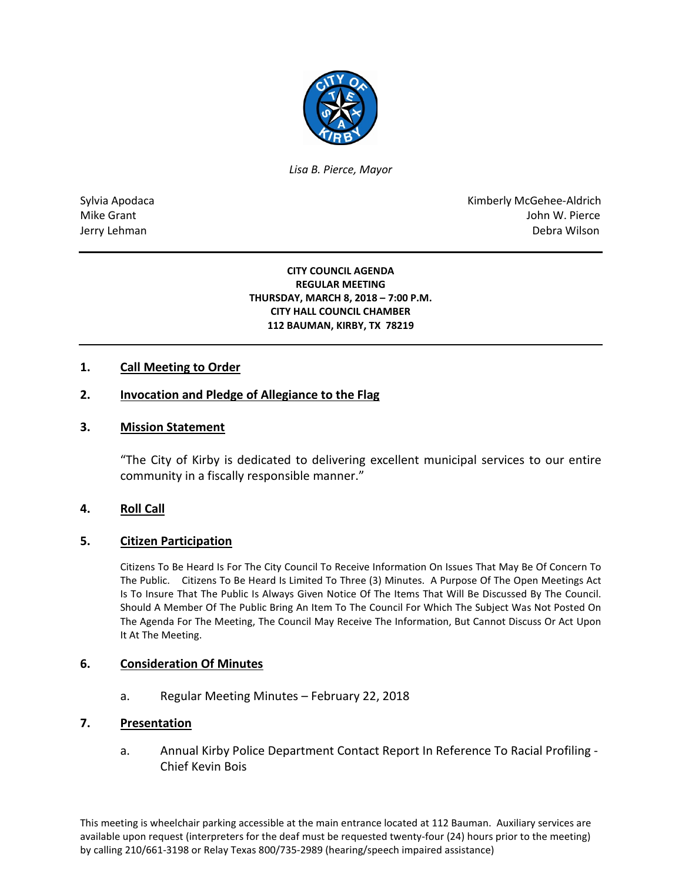

*Lisa B. Pierce, Mayor* 

Sylvia Apodaca National Apodaca Kimberly McGehee-Aldrich Mike Grant John W. Pierce Jerry Lehman Debra Wilson (2008) and the state of the state of the state of the state of the state of the state of the state of the state of the state of the state of the state of the state of the state of the state of the

#### **CITY COUNCIL AGENDA REGULAR MEETING THURSDAY, MARCH 8, 2018 – 7:00 P.M. CITY HALL COUNCIL CHAMBER 112 BAUMAN, KIRBY, TX 78219**

## **1. Call Meeting to Order**

## **2. Invocation and Pledge of Allegiance to the Flag**

#### **3. Mission Statement**

"The City of Kirby is dedicated to delivering excellent municipal services to our entire community in a fiscally responsible manner."

#### **4. Roll Call**

#### **5. Citizen Participation**

Citizens To Be Heard Is For The City Council To Receive Information On Issues That May Be Of Concern To The Public. Citizens To Be Heard Is Limited To Three (3) Minutes. A Purpose Of The Open Meetings Act Is To Insure That The Public Is Always Given Notice Of The Items That Will Be Discussed By The Council. Should A Member Of The Public Bring An Item To The Council For Which The Subject Was Not Posted On The Agenda For The Meeting, The Council May Receive The Information, But Cannot Discuss Or Act Upon It At The Meeting.

#### **6. Consideration Of Minutes**

a. Regular Meeting Minutes – February 22, 2018

### **7. Presentation**

a. Annual Kirby Police Department Contact Report In Reference To Racial Profiling - Chief Kevin Bois

This meeting is wheelchair parking accessible at the main entrance located at 112 Bauman. Auxiliary services are available upon request (interpreters for the deaf must be requested twenty-four (24) hours prior to the meeting) by calling 210/661-3198 or Relay Texas 800/735-2989 (hearing/speech impaired assistance)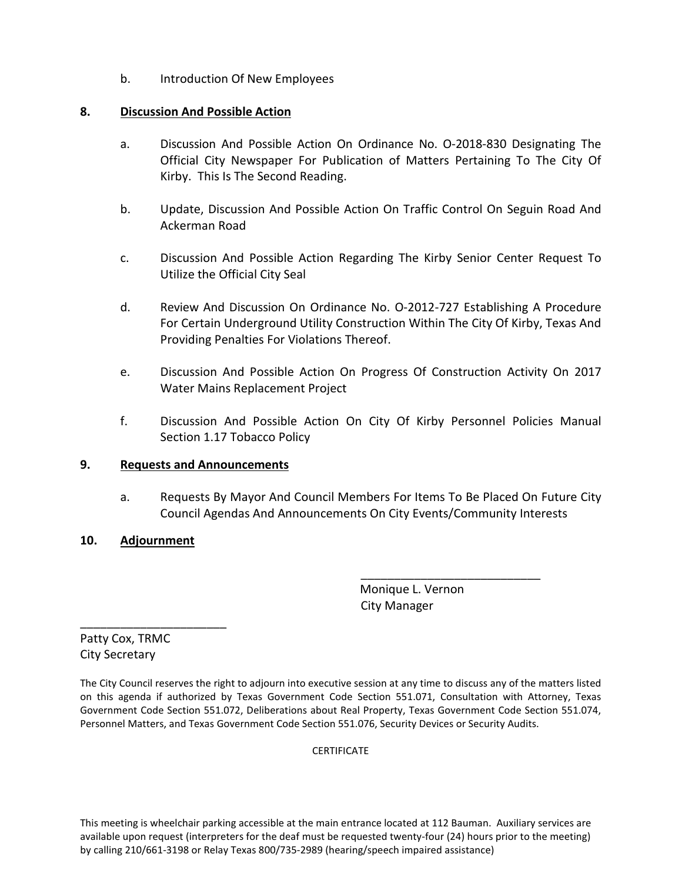b. Introduction Of New Employees

### **8. Discussion And Possible Action**

- a. Discussion And Possible Action On Ordinance No. O-2018-830 Designating The Official City Newspaper For Publication of Matters Pertaining To The City Of Kirby. This Is The Second Reading.
- b. Update, Discussion And Possible Action On Traffic Control On Seguin Road And Ackerman Road
- c. Discussion And Possible Action Regarding The Kirby Senior Center Request To Utilize the Official City Seal
- d. Review And Discussion On Ordinance No. O-2012-727 Establishing A Procedure For Certain Underground Utility Construction Within The City Of Kirby, Texas And Providing Penalties For Violations Thereof.
- e. Discussion And Possible Action On Progress Of Construction Activity On 2017 Water Mains Replacement Project
- f. Discussion And Possible Action On City Of Kirby Personnel Policies Manual Section 1.17 Tobacco Policy

# **9. Requests and Announcements**

a. Requests By Mayor And Council Members For Items To Be Placed On Future City Council Agendas And Announcements On City Events/Community Interests

# **10. Adjournment**

\_\_\_\_\_\_\_\_\_\_\_\_\_\_\_\_\_\_\_\_\_\_

 Monique L. Vernon City Manager

\_\_\_\_\_\_\_\_\_\_\_\_\_\_\_\_\_\_\_\_\_\_\_\_\_\_\_

Patty Cox, TRMC City Secretary

The City Council reserves the right to adjourn into executive session at any time to discuss any of the matters listed on this agenda if authorized by Texas Government Code Section 551.071, Consultation with Attorney, Texas Government Code Section 551.072, Deliberations about Real Property, Texas Government Code Section 551.074, Personnel Matters, and Texas Government Code Section 551.076, Security Devices or Security Audits.

**CERTIFICATE** 

This meeting is wheelchair parking accessible at the main entrance located at 112 Bauman. Auxiliary services are available upon request (interpreters for the deaf must be requested twenty-four (24) hours prior to the meeting) by calling 210/661-3198 or Relay Texas 800/735-2989 (hearing/speech impaired assistance)